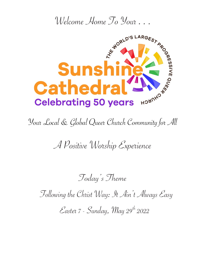

Your Local & Global Queer Church Community for All

A Positive Worship Experience

Today's Theme

Following the Christ Way: It Ain't Always Easy

 $\mathcal{E}$ aster 7 - Sunday, May 29<sup>th</sup> 2022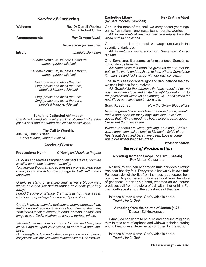#### **Welcome Rev Dr Durrell Watkins** Rev Dr Robert Griffin **Announcements** Rev Dr Anne Atwell *Please rise as you are able.* **Introit** *Laudate Dominum Laudate Dominum, laudate Dominum omnes gentes, alleluia! Laudate Dominum, laudate Dominum omnes gentes, alleluia! Sing, praise and bless the Lord. Sing, praise and bless the Lord, peoples! Nations! Alleluia! Sing, praise and bless the Lord. Sing, praise and bless the Lord, peoples! Nations! Alleluia!* **Sunshine Cathedral Affirmation** *Sunshine Cathedral is a different kind of church where the past is past and the future has infinite possibilities.* **The Call to Worship** Alleluia, Christ is risen. *Christ is risen, indeed. Alleluia! Service of Praise* **Processional Hymn** *O Young and Fearless Prophet* One: In the tomb of the soul, we carry secret yearnings, pains, frustrations, loneliness, fears, regrets, worries. *All: In the tomb of the soul, we take refuge from the world and its heaviness.* One: In the tomb of the soul, we wrap ourselves in the security of darkness. *All: Sometimes this is a comfort. Sometimes it is an escape.* One: Sometimes it prepares us for experience. Sometimes it insulates us from life. *All: Sometimes this tomb-life gives us time to feel the pain of the world and reach out to heal others. Sometimes it numbs us and locks us up with our own concerns.*  One: In this season where light and dark balance the day, we seek balance for ourselves. *All: Grateful for the darkness that has nourished us, we push away the stone and invite the light to awaken us to the possibilities within us and among us – possibilities for new life in ourselves and in our world.* **Sung Response** *Now the Green Blade Rises Now the green blade rises from the buried grain; wheat that in dark earth for many days has lain; Love lives again, that with the dead has been: Love is come again like wheat that rises green. When our hearts are wintry, grieving, or in pain, Christ's warm touch can call us back to life again, fields of our hearts that dead and bare have been: Love is come again like wheat that rises green. Please be seated. Service of Proclamation*

*O young and fearless Prophet of ancient Galilee: your life is still a summons to serve humanity,*

*Service of Gathering*

*To make our thoughts and actions less prone to please the crowd, to stand with humble courage for truth with hearts unbowed.*

*O help us stand unswerving against war's bloody way, where hate and lust and falsehood hold back your holy sway;*

*Forbid the love of vi'lence, that turns us from your call to lift above our priv'lege the care and good of all.*

*Create in us the splendor that dawns when hearts are kind, that knows not race nor station as bound'ries of the mind; That learns to value beauty, in heart, or mind, or soul, and longs to see God's children as sacred, perfect, whole.*

*We heed, Je-sus, your summons, to heal, and feed, and bless. Send us upon your errand, to show love and kindness.*

*Our strength is dust and ashes, our years a passing hour; but you can use our weakness to demonstrate God's power.* (by Sara Moores Campbell)

### **A reading from the Gospel of Luke (6.43-45)** Rev Marian Cavagnaro

No healthy tree can bear rotten fruit, nor does a rotting tree bear healthy fruit. Every tree is known by its own fruit. For people do not pick figs from thornbushes or grapes from brambles. A good person produces good from the store of goodness in her or his heart, whereas an evil person produces evil from the store of evil within her or him. For the mouth speaks from the abundance of the heart.

In these human words, God's voice is heard. *Thanks be to God.*

### **A reading from the epistle of James (1.27)** Deacon Ed Huckemeyer

What God considers to be pure and genuine religion is this: to take care of orphans and widows in their suffering and to keep oneself from being corrupted by the world.

In these human words, God's voice is heard. *Thanks be to God.*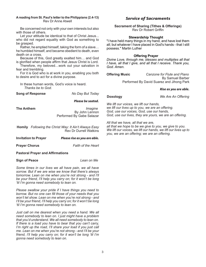### **A reading from St. Paul's letter to the Philippians (2.4-13)** Rev Dr Anne Atwell

Be concerned not only with your own interests but also with those of others.

Let your attitude be identical to that of Christ Jesus... who did not regard equality with God as something to be grasped.

Rather, he emptied himself, taking the form of a slave… he humbled himself, and became obedient to death, even death on a cross.

Because of this, God greatly exalted him… and God is glorified when people affirm that Jesus Christ is Lord.

Therefore, my beloved…work out your salvation in fear and trembling.

For it is God who is at work in you, enabling you both to desire and to act for a divine purpose.

In these human words, God's voice is heard. *Thanks be to God.*

**Song of Response** *No Day But Today* 

### *Please be seated.*

**The Anthem** *Imagine* By John Lennon Performed By Gabe Salazar

- **Homily** *Following the Christ Way: It Ain't Always Easy*  Rev Dr Durrell Watkins
- **Invitation to Prayer** *Please rise as you are able.*

**Prayer Chorus** *Faith of the Heart*

### **Pastoral Prayer and Affirmations**

**Sign of Peace** *Lean on Me* 

*Some times in our lives we all have pain, we all have sorrow. But if we are wise we know that there's always tomorrow. Lean on me when you're not strong - and I'll be your friend, I'll help you carry on; for it won't be long 'til I'm gonna need somebody to lean on.*

*Please swallow your pride if I have things you need to borrow. But no one can fill those of your needs that you won't let show. Lean on me when you're not strong - and I'll be your friend, I'll help you carry on; for it won't be long 'til I'm gonna need somebody to lean on.*

*Just call on me dearest when you need a hand. We all need somebody to lean on. I just might have a problem that you'd understand. We all need somebody to lean on. If there is a load you have to bear that you can't carry, I'm right up the road, I'll share your load if you just call me. Lean on me when you're not strong - and I'll be your friend, I'll help you carry on; for it won't be long 'til I'm gonna need somebody to lean on.*

### *Service of Sacraments*

**Sacrament of Sharing (Tithes & Offerings)** Rev Dr Robert Griffin

### **Stewardship Thought**

"I have held many things in my hand, and have lost them all; but whatever I have placed in God's hands - that I still possess." Martin Luther

### **Offering Prayer**

*Divine Love, through me, blesses and multiplies all that I have, all that I give, and all that I receive. Thank you, God. Amen.*

**Offering Music** *Canzone for Flute and Piano*  By Samuel Barber Performed By David Suarez and Jihong Park

### *Rise as you are able.*

**Doxology** *We Are An Offering* 

*We lift our voices, we lift our hands, we lift our lives up to you, we are an offering. God, use our voices, God, use our hands, God, use our lives, they are yours, we are an offering.* 

*All that we have, all that we are,* 

*all that we hope to be we give to you, we give to you. We lift our voices, we lift our hands, we lift our lives up to you, we are an offering; we are an offering.*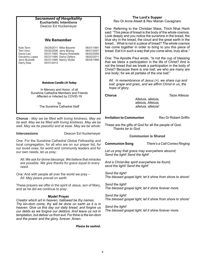| <b>Sacrament of Hospitality</b><br><b>Eucharistic Intentions</b><br>Deacon Ed Huckemeyer                            |            |                                                                                   |                                        |                                                   |
|---------------------------------------------------------------------------------------------------------------------|------------|-----------------------------------------------------------------------------------|----------------------------------------|---------------------------------------------------|
| <b>We Remember</b>                                                                                                  |            |                                                                                   |                                        |                                                   |
| Kyle Tann<br>Toni Vinci<br>David Lee                                                                                |            | 05/29/2011 Mike Bauerle<br>05/30/2006 Jerry Bishop<br>05/31/1995 Wayne Robitaille | 06/01/1991<br>06/01/2007<br>06/02/2006 | has co<br>bread.                                  |
| Giovanny Lopez<br>Jerry Buzzelli<br>Harry Dias                                                                      | 05/31/2014 | 05/31/1995 Darryl Zellers<br>05/31/1995 Nancy Wyllie                              | 06/02/2011<br>06/04/1996               | One: T<br>that we<br>not the<br>Christ?<br>one bo |
| <b>Rainbow Candle Lit Today</b>                                                                                     |            |                                                                                   |                                        |                                                   |
| In Memory and Honor of all<br>Sunshine Cathedral Members and Friends<br>Affected or Infected by COVID-19            |            |                                                                                   |                                        | hop<br>Choru                                      |
|                                                                                                                     |            | bv<br>The Sunshine Cathedral Staff                                                |                                        |                                                   |
| <b>Chorus</b> - May we be filled with loving kindness. May we                                                       |            |                                                                                   |                                        |                                                   |
| be well. May we be filled with loving kindness. May we be<br>well. May we be peaceful and at ease. May we be whole. |            |                                                                                   |                                        |                                                   |

**Intercessions** Deacon Ed Huckemeyer

One: For the Sunshine Cathedral Global Fellowship and local congregation, for all who are on our prayer list, for our loved ones, for world and community leaders and for our own needs, let us pray:

*All: We ask for divine blessings. We believe that miracles are possible. We give thanks for grace equal to every need.*

One: And with people all over the world we pray – *All: May peace prevail on earth.*

These prayers we offer in the spirit of Jesus, son of Mary, and as he did we continue to pray:

### **Model Prayer**

*Creator which art in heaven, hallowed be thy names. Thy kin-dom come, thy will be done on earth as it is in heaven. Give us this day our daily bread; and forgive us our debts as we forgive our debtors. And leave us not in temptation, but deliver us from evil. For thine is the kin-dom and the power and the glory, forever. Amen.*

*Please be seated.*

### **The Lord's Supper** Rev Dr Anne Atwell & Rev Marian Cavagnaro

Referring to the Christian Mass, Thich Nhat Hanh This piece of bread is the body of the whole cosmos. eeply and you notice the sunshine in the bread, the ty in the bread, the cloud and the great earth in the  $\dot{a}$ . What is not in a piece of bread? The whole cosmos me together in order to bring to you this piece of Eat it in such a way that you come alive, truly alive."

he Apostle Paul wrote, "Is not the cup of blessing e bless a participation in the life of Christ? And is bread that we break a participation in the body of Because there is one loaf, we who are many are  $dy$ ; for we all partake of the one loaf."

In remembrance of Jesus (+), we share cup and *grape and grain, and we affirm Christ in us, the hope of glory*.

**Chorus** *Taize Alleluia*

*Alleluia, alleluia, alleluia, Alleluia, alleluia, alleluia!*

**Ion to Communion Rev Dr Robert Griffin** 

are the gifts of God for all the people of God. *Thanks be to God.*

### **Communion is Shared**

**Communion Song** *There's a Call Comes Ringing*

*Let us pray that grace may everywhere abound; Send the light! Send the light!* 

*And a Christ-like spirit everywhere be found, send the light! Send the light!*

*Send the light! The blessed gospel light; let it shine from shore to shore!* 

*Send the light! The blessed gospel light; let it shine forever more.*

*Send the light! The blessed gospel light; let it shine from shore to shore!* 

*Send the light! The blessed gospel light; let it shine forever more.*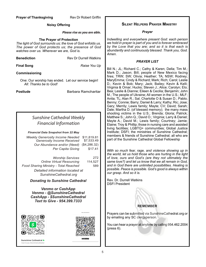### **Noisy Offering**

### *Please rise as you are able.*

### **The Prayer of Protection**

*The light of God surrounds us; the love of God enfolds us. The power of God protects us; the presence of God watches over us. Wherever we are, God is.*

| Benediction | Rev |
|-------------|-----|
|             |     |

**Final Song**<br>*Raise You Up* 

**Dr Durrell Watkins** 

### **Commissioning**

One: Our worship has ended. Let our service begin! *All: Thanks be to God!*

**Postlude Barbara Ramcharitar** 

## *Sunshine Cathedral Weekly Financial Information*

### *Financial Data Snapshot from 22 May*

| <b>Weekly Generosity Income Needed</b><br>Generosity Income Received | \$11,819.81<br>\$7,533.49 |
|----------------------------------------------------------------------|---------------------------|
| Our Abundance and/or (Need)                                          | (\$4,286.32)              |
| Per Capita Giving                                                    | \$17.41                   |
|                                                                      |                           |
| <b>Worship Services</b>                                              | 272                       |
| <b>Online Virtual Resourcing</b>                                     | 114,527                   |
| Food Sharing Ministry - Total Reached                                | 589                       |
| Detailed information located at                                      |                           |
| SunshineCathedral.org                                                |                           |

*Donating to Sunshine Cathedral* 

*Venmo or CashApp Venmo - @SunshineCathedral CashApp - \$SunshineCathedral Text to Give - 954.399.7333*





Sunshine Cathedral B Scan to pay \$SunshineCathedral

### **Silent Helpers Prayer Ministry**

*Prayer*

*Indwelling and everywhere present God: each person we hold in prayer is part of you and is forever embraced by the Love that you are; and so it is that each is abundantly and continuously blessed. Thank you, God. Amen*.

### *PRAYER LIST*

Bill N.; JL; Richard C.; Cathy & Karen; Della; Tim M.; Mark D.; Jason; Bill; people of New Mexico facing fires; TRW; SW; Olivia; Heather; TA; NSW; Rodney; MaryEmma; Cindy & Richard; Mark; Rich; Carol; Leslie D.; Kevin & Bob; Mary; Jack; Bailey; Kevin & Kelli; Virginia & Omar; Hucks; Steven J.; Alice; Carolyn; Elo; Bea; Leslie & Dianne; Eileen & Cecilia; Benjamin; John M.; The people of Ukraine; All women in the U.S.; MLF; Anita; TL; Alan R.; Sal; Charlotte O & Susan D.; Pablo; Benny; Connie; Barry; Daniel & Larry; Kathy; Ric; Jose; Gary; Merrily; Lewis family; Mayte; CV; David; Sarah; Dale; Martha D. (of blessed memory); the many mass shooting victims in the U.S.; Brenda; Gloria; Patrick; Matthew S.; John Q.; David O.; Virginia; Larry & Daniel; Mayte A.; David M.; Lewis family; Courtney; Jamie; Elaine; Troy & Phillip; those in nursing care and assisted living facilities; LGBTQ+ communities; Global Justice Institute; DSFI; the ministries of Sunshine Cathedral; members & friends of Sunshine Cathedral; all who are part of the Sunshine Cathedral Global Fellowship

*With so much fear, rage, and violence showing up in the world, let us hold those who are hurting in the light of love, ours and God's (are they not ultimately the same love?) and let us know that we all remain in God, and in God there are unlimited possibilities. Healing is possible. Peace is possible. God's good is always within our grasp. And so it is.*

Rev. Dr. Durrell Watkins DSFI President

### **REMEMBER**

Prayers can be submitted via SunshineCathedral.org or by emailing any SC clergyperson.

You can hear a prayer at anytime by calling 954.462.2004 (press 6).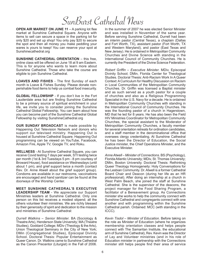# SunBurst Cathedral News

**OPEN AIR MARKET ON JUNE 11** – A parking lot flee market at Sunshine Cathedral Square. Anyone with items to sell can secure a space in the parking lot for only \$20 and set up shop! You only pay \$20 to secure the spot and then all money you make peddling your wares is yours to keep! You can reserve your spot at Sunshinecathedral.org

**SUNSHINE CATHEDRAL ORIENTATION** – this free, online class will be offered on June 18 at 9 am Eastern. This is for anyone who wants to learn more about Sunshine Cathedral. Those who take the course are eligible to join Sunshine Cathedral.

**LOAVES AND FISHES** - The first Sunday of each month is Loave & Fishes Sunday. Please donate nonperishable food items to help us combat food insecurity.

**GLOBAL FELLOWSHIP** - If you don't live in the Fort Lauderdale area but are finding Sunshine Cathedral to be a primary source of spiritual enrichment in your life, we invite you to consider joining the Sunshine Cathedral Global Fellowship. You can learn about how you can become part of the Sunshine Cathedral Global Fellowship by visiting SunshineCathedral.org

**OUR SUNDAY BROADCAST** is made possible by Happening Out Television Network and donors who support our televised ministry. Happening Out is housed at Sunshine Cathedral Square. Happening Out programming can be viewed on YouTube, Facebook, Amazon Fire, Apple TV, Google TV, and Roku.

**WELLNESS** - At Sunshine Cathedral Square, you can receive Covid testing 7 days per week, STI testing twice per month (1st & 3rd Tuesdays 5 pm - 8 pm courtesy of Broward House), food assistance on Wednesdays (until about 1 pm), and grief support twice a month (contact Rev. Dr. Anne Atwell about the grief support group). Condoms are available in our restrooms, vaccinations are encouraged and hand sanitizer can be found at the doorways of the Worship Center.

**MEET SUNSHINE CATHEDRAL'S EXECUTIVE LEADERSHIP TEAM** - We appreciate our Support Ministries leaders at Sunshine Cathedral. Only one person on this list receives a modest stipend; all the others volunteer their ministries. We are richly blessed by their generosity of spirit and dedication to the mission and ministries of Sunshine Cathedral:

*Durrell Watkins – Senior Minister.* BA (Sociology & Theatre Arts), Henderson State University; MA (Theatre Studies), Goddard College; MDiv (Theology & the Arts), Union Theological Seminary in the City of New York; DMin (Congregational Studies), Episcopal Divinity School. Doctoral Thesis: Popular Entertainment as Queer Canon. Dr. Watkins came to Sunshine Cathedral as the Canon Precentor (Liturgist) in the Fall of 2006.

In the summer of 2007 he was elected Senior Minister and was installed in November of the same year. Before serving Sunshine Cathedral, Durrell had been an interim pastor (Central Texas), a chaplain (Dallas and Fort Worth, TX), assistant pastor (Fort Worth, TX and Western Maryland), and pastor (East Texas and New Jersey). He is ordained in Metropolitan Community Churches and Divine Science with standing in the International Council of Community Churches. He is currently the President of the Divine Science Federation.

*Robert Griffin – Executive Minister.* MDiv, Episcopal Divinity School; DMin, Florida Center for Theological Studies. Doctoral Thesis: Anti-Racism Work In A Queer Context: A Curriculum for Healthy Discussion on Racism in Local Communities of the Metropolitan Community Churches. Dr. Griffin was licensed a Baptist minister and as such served as a youth pastor for a couple of churches and also as a Religious Programming Specialist in the U.S. Navy for a decade. He is ordained in Metropolitan Community Churches with standing in the International Council of Community Churches. He was the founding pastor of a church in Hagerstown, MD that he led for 8 years. He has also been the Field HIV Ministries Coordinator for Metropolitan Community Churches, the special assistant to the Moderator of Metropolitan Community Churches, a faculty member for several orientation retreats for ordination candidates, and a staff member in the denominational office that oversees clergy credentialing. At Sunshine Cathedral he has been the Director of Education, the Social Justice minister, the Chief Operations Minister, and the Executive Minister.

*Anne Atwell – Minister of Connections.* BS (Psychology), Florida Atlantic University; MDiv, St. Thomas University; DMin, Boston University. Doctoral Thesis: Rethinking Queer Theology Homogeneity: Holy Conversations for the Lesbian Community. Dr. Atwell is a former Cathedral Board Chair and Deacon (during her life as an HR professional). After doing an internship at a church in West Palm Beach, she joined the staff at Sunshine Cathedral. She is the supervisor of the deacons, the project manager for the Food Sharing Program, a facilitator of a Bereavement group. As Connections minister she works to help the community connect with Sunshine Cathedral and congregants connect with one another and with programming within the Sunshine Cathedral parish. Ordained: MCC (with standing in the ICCC).

*Kevin Tisdol – Minister of Education.* Before taking on the role as Minister of Education (where he organizes membership orientation classes and helps people connect with The Samaritan Institute, the educational arm of Sunshine Cathedral), Rev. Kevin was the Director of Lay and Volunteer ministries (and in his role of Education minister in partnership with the Connections minister still helps people find their area of service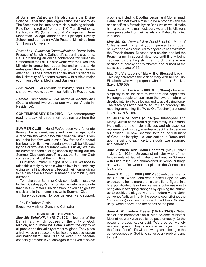at Sunshine Cathedral). He also staffs the Divine Science Federation (the organization that approves The Samaritan Institute as a ministry training school). Rev. Kevin is retired from the NYC Transit Authority. He holds a BS (Organizational Management) from Manhattan College, attended the Episcopal Divinity School, and earned an MA in Pastoral Ministries from St. Thomas University.

*Darren Loli – Director of Communications*. Darren is the Producer of Sunshine Cathedral's streaming programs. He is organizing an online conference for Sunshine Cathedral in the Fall. He also works with the Executive Minister to create both streaming and print ads. He redesigned the Cathedral logo and website. Darren attended Tulane University and finished his degree in the University of Alabama system with a triple major (Communications, Media, and Business).

*Sara Burns – Co-Director of Worship Arts* (Details shared two weeks ago with our Artists-in-Residence).

*Barbara Ramcharitar – Co-Director of Worship Arts*  (Details shared two weeks ago with our Artists-in-Residence).

**CONTEMPORARY READING** – No contemporary reading today. All three short readings are from the bible.

**SUMMER CLUB** – Hello! We've been very fortunate through the pandemic years and have managed to do a lot of ministry without too much financial strain. Even so, in the last few weeks cash flow for the Cathedral has been a bit tight. An abundant week will be followed by one or two less abundant weeks. Luckily, we plan for summer financial sluggishness by rolling out the Summer Club each year. This year, the Summer Club comes along at just the right time!

Our 2022 Summer Club goal is \$15,000. We hope to raise this simply by people who believe in our ministry giving something above and beyond their normal giving to help us have a smooth summer full of ministry and outreach.

To make your Summer Club contribution, just give by Text, CashApp, Venmo, or via the website and note that it is a Summer Club donation, or you can give by check and in the memo line, write Summer Club.

Thank you so much for your generosity and support.

-- Rev Dr Robert Griffin Executive Minister, Sunshine Cathedral

### **SAINTS OF THE WEEK**

*May 29: Baha'u'llah (1817-1892)* – founder of the Baha'i Faith which focuses on the unity of God, religion, and humankind. Baha'is affirm the dignity of all people and the validity of most religions. They place a high value on peace and justice and oppose racism and nationalism. Baha'u'llah believed God became especially present in various ages in the lives of select prophets, including Buddha, Jesus, and Mohammad. Baha'u'llah believed himself to be a prophet (and the one specifically foretold by the Bab), which would make him, also, a divine manifestation. He and his followers were persecuted for their beliefs and Baha'u'llah died in prison.

*May 30: St. Joan of Arc (1412?-1431)*—Maid of Orleans and martyr. A young peasant girl, Joan believed she was being led by angelic voices to restore the French throne. Dressed as a soldier, she led the French army in several victories, until finally being captured by the English. In a church trial she was accused of heresy and witchcraft, and burned at the stake at the age of 19.

**May 31: Visitation of Mary, the Blessed Lady**— This day celebrates the visit of Mary with her cousin, Elizabeth, who was pregnant with John the Baptizer (Luke 1:39-56).

**June 1: Lao Tzu (circa 600 BCE, China)** - believed simplicity to be the path to freedom and happiness. He taught people to learn from the laws of nature, to develop intuition, to be loving, and to avoid using force. The teachings attributed toLao Tzu (an honorary title, meaning something like "Wise Old Teacher") are found in the Tao te Ching.

**St. Justin of Rome (c. 167)**—Philosopher and Martyr. Justin came from a gentile family in Samaria. He studied all the major religious and philosophical movements of his day, eventually deciding to become a Christian. He saw Christian faith as the fulfillment of Greek philosophy. He later settled in Rome and, upon refusing to sacrifice to the gods, was scourged and beheaded.

**June 2: Phebe Ann Coffin Hanaford,** (May 6, 1829 – June 2, 1921) - Universalist minister who left her fundamentalist Baptist husband and lived for 30 years with Ellen Miles. She championed universal suffrage and was the first woman chaplain to the Connecticut legislature.

**June 3: St. John XXIII (1881-1963)**—Modernizer of the Church. When John was elected Pope he was expected to be no more than a transitional figure. In a brief pontificate of less than five years, John was able to bring about sweeping changes by opening the church up to positive dialogue with the modern world. John convened Vatican II (only the second council since the 16th century) as a pastoral council to address Christian unity, world peace, and the needs of the poor.

**June 4: W. Frederic Keeler (1874 - 1943)** - Noted healer and metaphysician (Divine Science minister). Most of his work was published posthumously. Of the power of prayer, Keeler said, "We drop our worldly worries in prayer. They do not exist in prayer...To face the facts of one's life without worry while being in the consciousness of God is to solve every problem, and to heal."